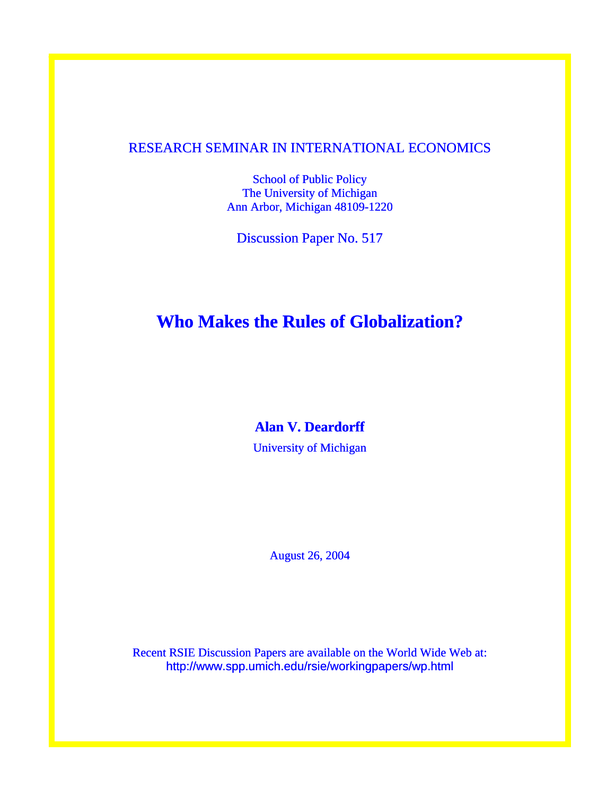# RESEARCH SEMINAR IN INTERNATIONAL ECONOMICS

School of Public Policy The University of Michigan Ann Arbor, Michigan 48109-1220

Discussion Paper No. 517

# **Who Makes the Rules of Globalization?**

# **Alan V. Deardorff**

University of Michigan

August 26, 2004

Recent RSIE Discussion Papers are available on the World Wide Web at: http://www.spp.umich.edu/rsie/workingpapers/wp.html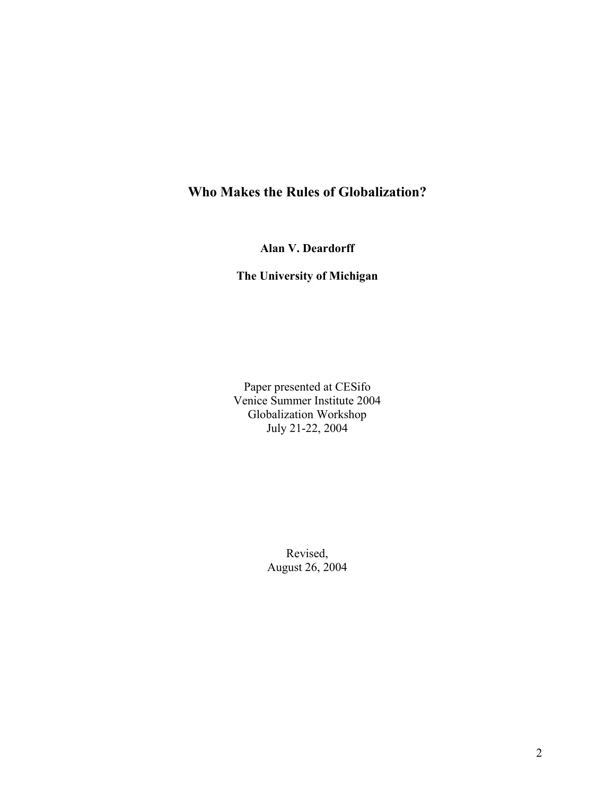# **Who Makes the Rules of Globalization?**

**Alan V. Deardorff** 

**The University of Michigan** 

Paper presented at CESifo Venice Summer Institute 2004 Globalization Workshop July 21-22, 2004

> Revised, August 26, 2004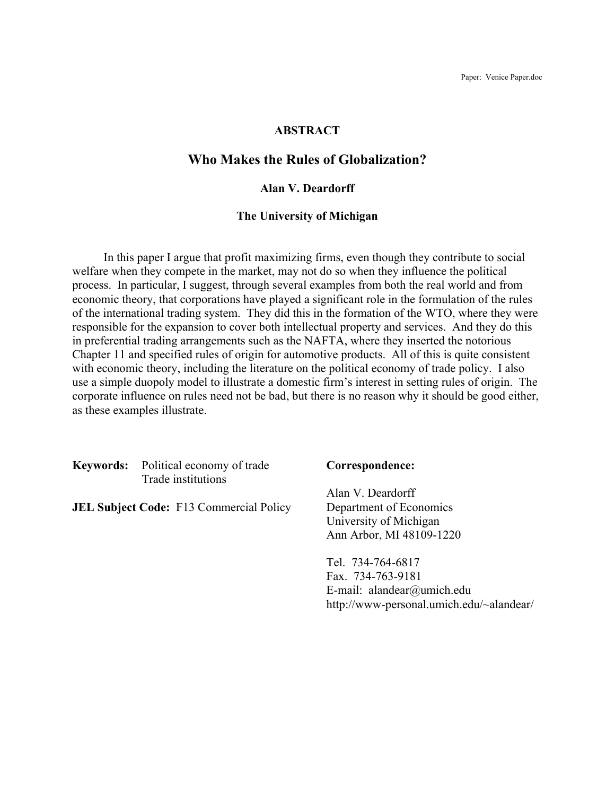#### **ABSTRACT**

# **Who Makes the Rules of Globalization?**

### **Alan V. Deardorff**

#### **The University of Michigan**

In this paper I argue that profit maximizing firms, even though they contribute to social welfare when they compete in the market, may not do so when they influence the political process. In particular, I suggest, through several examples from both the real world and from economic theory, that corporations have played a significant role in the formulation of the rules of the international trading system. They did this in the formation of the WTO, where they were responsible for the expansion to cover both intellectual property and services. And they do this in preferential trading arrangements such as the NAFTA, where they inserted the notorious Chapter 11 and specified rules of origin for automotive products. All of this is quite consistent with economic theory, including the literature on the political economy of trade policy. I also use a simple duopoly model to illustrate a domestic firm's interest in setting rules of origin. The corporate influence on rules need not be bad, but there is no reason why it should be good either, as these examples illustrate.

**Keywords:** Political economy of trade **Correspondence:** Trade institutions

**JEL Subject Code:** F13 Commercial Policy Department of Economics

Alan V. Deardorff University of Michigan Ann Arbor, MI 48109-1220

Tel. 734-764-6817 Fax. 734-763-9181 E-mail: alandear@umich.edu http://www-personal.umich.edu/~alandear/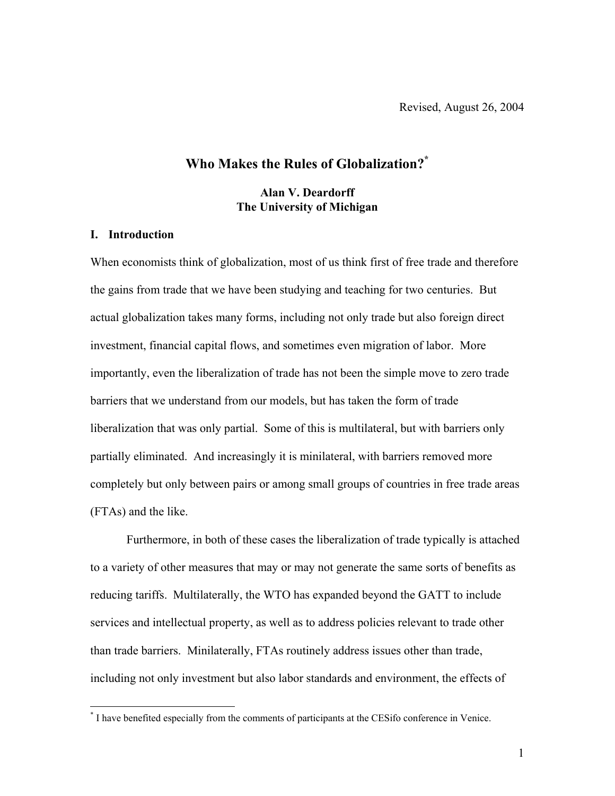# **Who Makes the Rules of Globalization[?\\*](#page-3-0)**

## **Alan V. Deardorff The University of Michigan**

### **I. Introduction**

<u>.</u>

When economists think of globalization, most of us think first of free trade and therefore the gains from trade that we have been studying and teaching for two centuries. But actual globalization takes many forms, including not only trade but also foreign direct investment, financial capital flows, and sometimes even migration of labor. More importantly, even the liberalization of trade has not been the simple move to zero trade barriers that we understand from our models, but has taken the form of trade liberalization that was only partial. Some of this is multilateral, but with barriers only partially eliminated. And increasingly it is minilateral, with barriers removed more completely but only between pairs or among small groups of countries in free trade areas (FTAs) and the like.

Furthermore, in both of these cases the liberalization of trade typically is attached to a variety of other measures that may or may not generate the same sorts of benefits as reducing tariffs. Multilaterally, the WTO has expanded beyond the GATT to include services and intellectual property, as well as to address policies relevant to trade other than trade barriers. Minilaterally, FTAs routinely address issues other than trade, including not only investment but also labor standards and environment, the effects of

<span id="page-3-0"></span><sup>\*</sup> I have benefited especially from the comments of participants at the CESifo conference in Venice.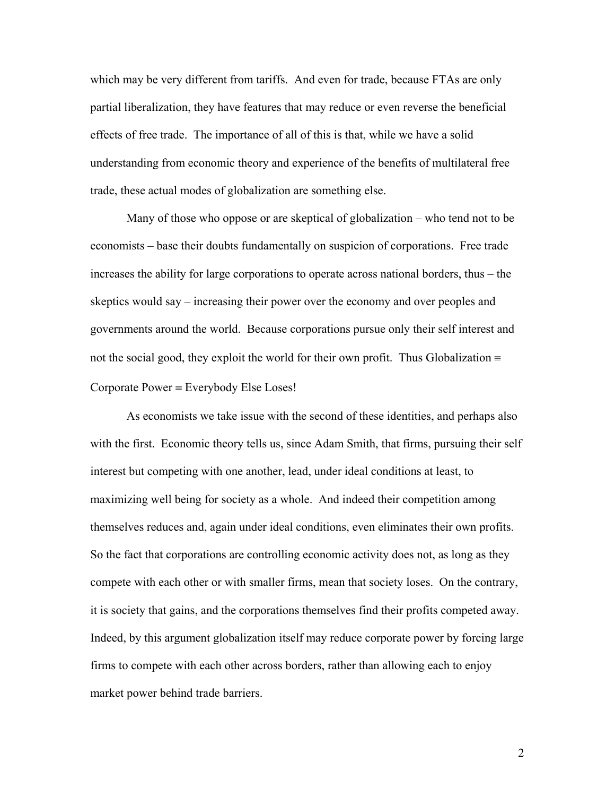which may be very different from tariffs. And even for trade, because FTAs are only partial liberalization, they have features that may reduce or even reverse the beneficial effects of free trade. The importance of all of this is that, while we have a solid understanding from economic theory and experience of the benefits of multilateral free trade, these actual modes of globalization are something else.

Many of those who oppose or are skeptical of globalization – who tend not to be economists – base their doubts fundamentally on suspicion of corporations. Free trade increases the ability for large corporations to operate across national borders, thus – the skeptics would say – increasing their power over the economy and over peoples and governments around the world. Because corporations pursue only their self interest and not the social good, they exploit the world for their own profit. Thus Globalization  $\equiv$ Corporate Power ≡ Everybody Else Loses!

As economists we take issue with the second of these identities, and perhaps also with the first. Economic theory tells us, since Adam Smith, that firms, pursuing their self interest but competing with one another, lead, under ideal conditions at least, to maximizing well being for society as a whole. And indeed their competition among themselves reduces and, again under ideal conditions, even eliminates their own profits. So the fact that corporations are controlling economic activity does not, as long as they compete with each other or with smaller firms, mean that society loses. On the contrary, it is society that gains, and the corporations themselves find their profits competed away. Indeed, by this argument globalization itself may reduce corporate power by forcing large firms to compete with each other across borders, rather than allowing each to enjoy market power behind trade barriers.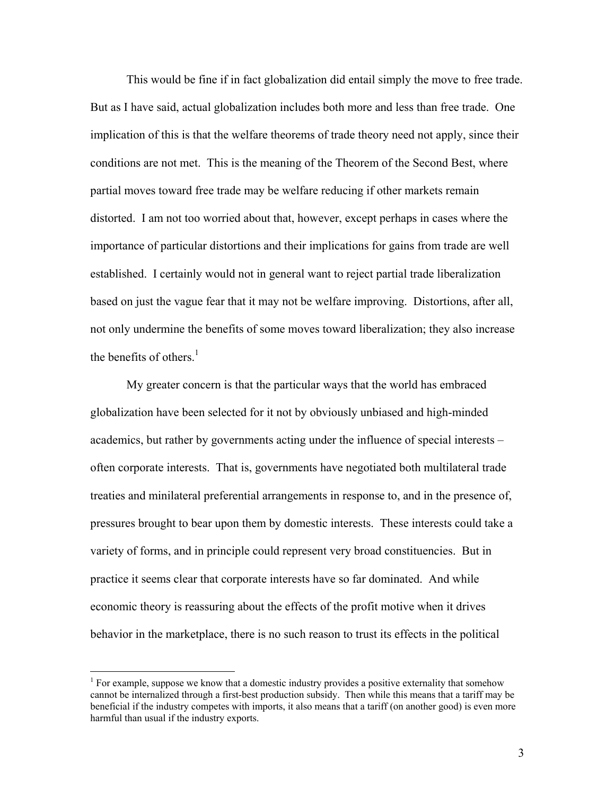This would be fine if in fact globalization did entail simply the move to free trade. But as I have said, actual globalization includes both more and less than free trade. One implication of this is that the welfare theorems of trade theory need not apply, since their conditions are not met. This is the meaning of the Theorem of the Second Best, where partial moves toward free trade may be welfare reducing if other markets remain distorted. I am not too worried about that, however, except perhaps in cases where the importance of particular distortions and their implications for gains from trade are well established. I certainly would not in general want to reject partial trade liberalization based on just the vague fear that it may not be welfare improving. Distortions, after all, not only undermine the benefits of some moves toward liberalization; they also increase the benefits of others.<sup>[1](#page-5-0)</sup>

My greater concern is that the particular ways that the world has embraced globalization have been selected for it not by obviously unbiased and high-minded academics, but rather by governments acting under the influence of special interests – often corporate interests. That is, governments have negotiated both multilateral trade treaties and minilateral preferential arrangements in response to, and in the presence of, pressures brought to bear upon them by domestic interests. These interests could take a variety of forms, and in principle could represent very broad constituencies. But in practice it seems clear that corporate interests have so far dominated. And while economic theory is reassuring about the effects of the profit motive when it drives behavior in the marketplace, there is no such reason to trust its effects in the political

 $\overline{a}$ 

<span id="page-5-0"></span><sup>&</sup>lt;sup>1</sup> For example, suppose we know that a domestic industry provides a positive externality that somehow cannot be internalized through a first-best production subsidy. Then while this means that a tariff may be beneficial if the industry competes with imports, it also means that a tariff (on another good) is even more harmful than usual if the industry exports.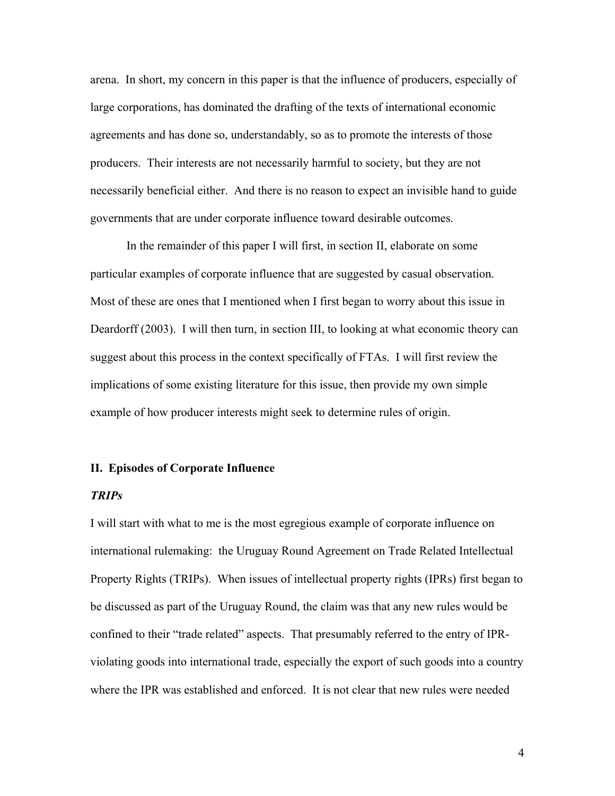arena. In short, my concern in this paper is that the influence of producers, especially of large corporations, has dominated the drafting of the texts of international economic agreements and has done so, understandably, so as to promote the interests of those producers. Their interests are not necessarily harmful to society, but they are not necessarily beneficial either. And there is no reason to expect an invisible hand to guide governments that are under corporate influence toward desirable outcomes.

In the remainder of this paper I will first, in section II, elaborate on some particular examples of corporate influence that are suggested by casual observation. Most of these are ones that I mentioned when I first began to worry about this issue in Deardorff (2003). I will then turn, in section III, to looking at what economic theory can suggest about this process in the context specifically of FTAs. I will first review the implications of some existing literature for this issue, then provide my own simple example of how producer interests might seek to determine rules of origin.

#### **II. Episodes of Corporate Influence**

### *TRIPs*

I will start with what to me is the most egregious example of corporate influence on international rulemaking: the Uruguay Round Agreement on Trade Related Intellectual Property Rights (TRIPs). When issues of intellectual property rights (IPRs) first began to be discussed as part of the Uruguay Round, the claim was that any new rules would be confined to their "trade related" aspects. That presumably referred to the entry of IPRviolating goods into international trade, especially the export of such goods into a country where the IPR was established and enforced. It is not clear that new rules were needed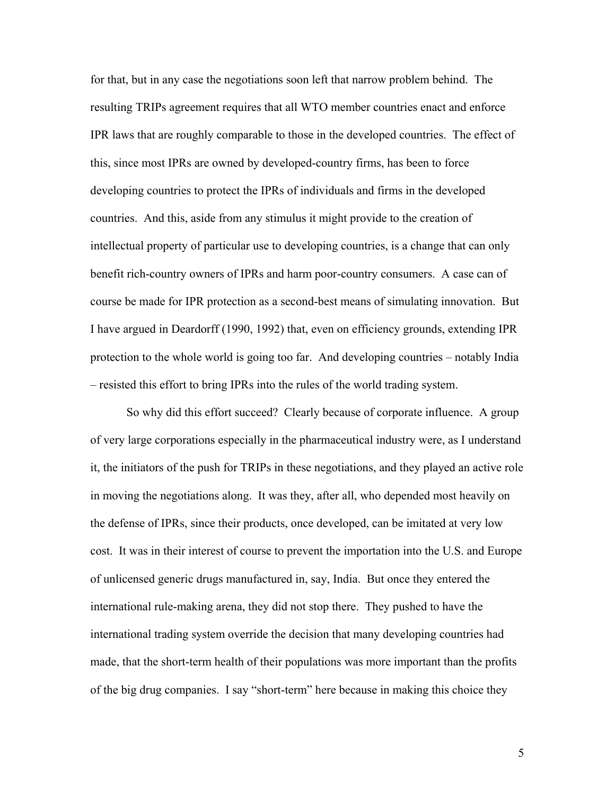for that, but in any case the negotiations soon left that narrow problem behind. The resulting TRIPs agreement requires that all WTO member countries enact and enforce IPR laws that are roughly comparable to those in the developed countries. The effect of this, since most IPRs are owned by developed-country firms, has been to force developing countries to protect the IPRs of individuals and firms in the developed countries. And this, aside from any stimulus it might provide to the creation of intellectual property of particular use to developing countries, is a change that can only benefit rich-country owners of IPRs and harm poor-country consumers. A case can of course be made for IPR protection as a second-best means of simulating innovation. But I have argued in Deardorff (1990, 1992) that, even on efficiency grounds, extending IPR protection to the whole world is going too far. And developing countries – notably India – resisted this effort to bring IPRs into the rules of the world trading system.

So why did this effort succeed? Clearly because of corporate influence. A group of very large corporations especially in the pharmaceutical industry were, as I understand it, the initiators of the push for TRIPs in these negotiations, and they played an active role in moving the negotiations along. It was they, after all, who depended most heavily on the defense of IPRs, since their products, once developed, can be imitated at very low cost. It was in their interest of course to prevent the importation into the U.S. and Europe of unlicensed generic drugs manufactured in, say, India. But once they entered the international rule-making arena, they did not stop there. They pushed to have the international trading system override the decision that many developing countries had made, that the short-term health of their populations was more important than the profits of the big drug companies. I say "short-term" here because in making this choice they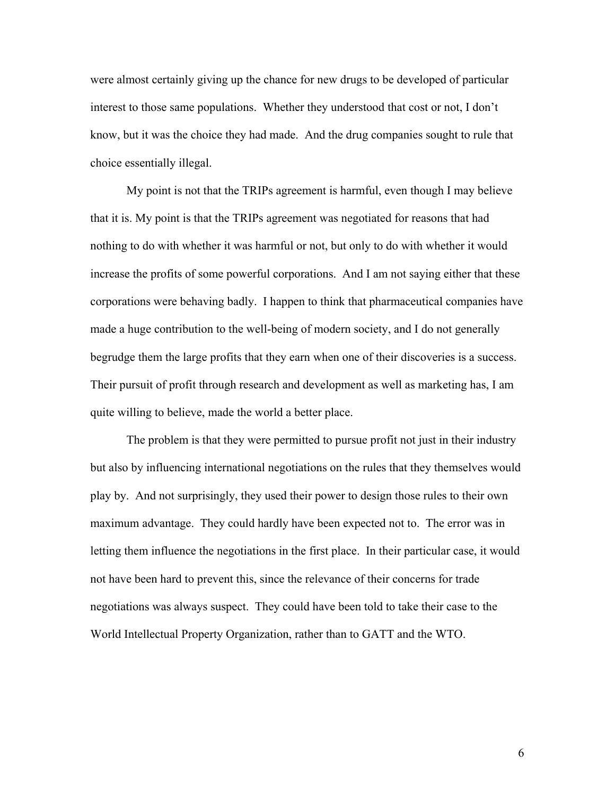were almost certainly giving up the chance for new drugs to be developed of particular interest to those same populations. Whether they understood that cost or not, I don't know, but it was the choice they had made. And the drug companies sought to rule that choice essentially illegal.

My point is not that the TRIPs agreement is harmful, even though I may believe that it is. My point is that the TRIPs agreement was negotiated for reasons that had nothing to do with whether it was harmful or not, but only to do with whether it would increase the profits of some powerful corporations. And I am not saying either that these corporations were behaving badly. I happen to think that pharmaceutical companies have made a huge contribution to the well-being of modern society, and I do not generally begrudge them the large profits that they earn when one of their discoveries is a success. Their pursuit of profit through research and development as well as marketing has, I am quite willing to believe, made the world a better place.

The problem is that they were permitted to pursue profit not just in their industry but also by influencing international negotiations on the rules that they themselves would play by. And not surprisingly, they used their power to design those rules to their own maximum advantage. They could hardly have been expected not to. The error was in letting them influence the negotiations in the first place. In their particular case, it would not have been hard to prevent this, since the relevance of their concerns for trade negotiations was always suspect. They could have been told to take their case to the World Intellectual Property Organization, rather than to GATT and the WTO.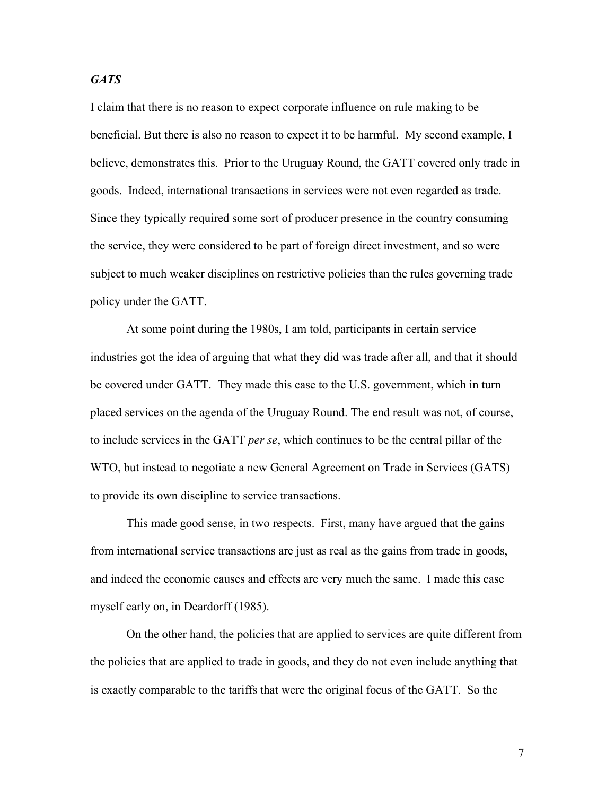# *GATS*

I claim that there is no reason to expect corporate influence on rule making to be beneficial. But there is also no reason to expect it to be harmful. My second example, I believe, demonstrates this. Prior to the Uruguay Round, the GATT covered only trade in goods. Indeed, international transactions in services were not even regarded as trade. Since they typically required some sort of producer presence in the country consuming the service, they were considered to be part of foreign direct investment, and so were subject to much weaker disciplines on restrictive policies than the rules governing trade policy under the GATT.

At some point during the 1980s, I am told, participants in certain service industries got the idea of arguing that what they did was trade after all, and that it should be covered under GATT. They made this case to the U.S. government, which in turn placed services on the agenda of the Uruguay Round. The end result was not, of course, to include services in the GATT *per se*, which continues to be the central pillar of the WTO, but instead to negotiate a new General Agreement on Trade in Services (GATS) to provide its own discipline to service transactions.

This made good sense, in two respects. First, many have argued that the gains from international service transactions are just as real as the gains from trade in goods, and indeed the economic causes and effects are very much the same. I made this case myself early on, in Deardorff (1985).

On the other hand, the policies that are applied to services are quite different from the policies that are applied to trade in goods, and they do not even include anything that is exactly comparable to the tariffs that were the original focus of the GATT. So the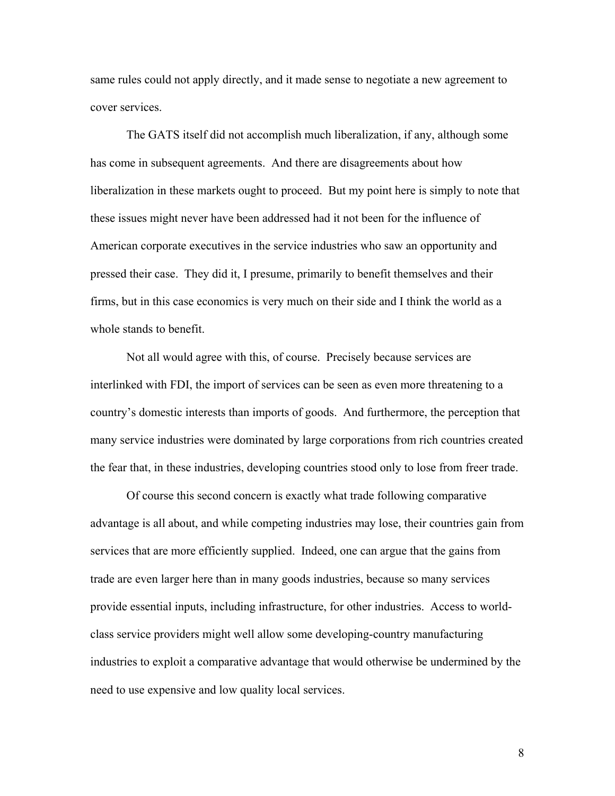same rules could not apply directly, and it made sense to negotiate a new agreement to cover services.

The GATS itself did not accomplish much liberalization, if any, although some has come in subsequent agreements. And there are disagreements about how liberalization in these markets ought to proceed. But my point here is simply to note that these issues might never have been addressed had it not been for the influence of American corporate executives in the service industries who saw an opportunity and pressed their case. They did it, I presume, primarily to benefit themselves and their firms, but in this case economics is very much on their side and I think the world as a whole stands to benefit.

Not all would agree with this, of course. Precisely because services are interlinked with FDI, the import of services can be seen as even more threatening to a country's domestic interests than imports of goods. And furthermore, the perception that many service industries were dominated by large corporations from rich countries created the fear that, in these industries, developing countries stood only to lose from freer trade.

Of course this second concern is exactly what trade following comparative advantage is all about, and while competing industries may lose, their countries gain from services that are more efficiently supplied. Indeed, one can argue that the gains from trade are even larger here than in many goods industries, because so many services provide essential inputs, including infrastructure, for other industries. Access to worldclass service providers might well allow some developing-country manufacturing industries to exploit a comparative advantage that would otherwise be undermined by the need to use expensive and low quality local services.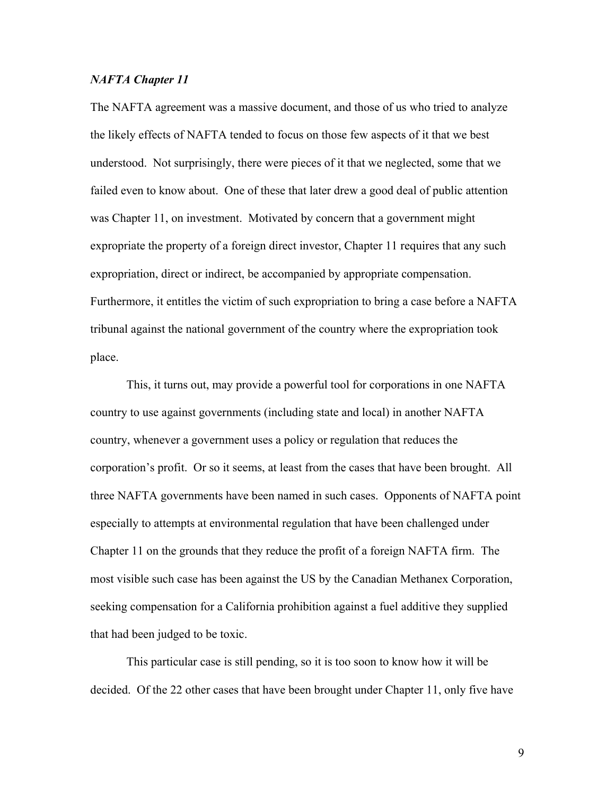# *NAFTA Chapter 11*

The NAFTA agreement was a massive document, and those of us who tried to analyze the likely effects of NAFTA tended to focus on those few aspects of it that we best understood. Not surprisingly, there were pieces of it that we neglected, some that we failed even to know about. One of these that later drew a good deal of public attention was Chapter 11, on investment. Motivated by concern that a government might expropriate the property of a foreign direct investor, Chapter 11 requires that any such expropriation, direct or indirect, be accompanied by appropriate compensation. Furthermore, it entitles the victim of such expropriation to bring a case before a NAFTA tribunal against the national government of the country where the expropriation took place.

This, it turns out, may provide a powerful tool for corporations in one NAFTA country to use against governments (including state and local) in another NAFTA country, whenever a government uses a policy or regulation that reduces the corporation's profit. Or so it seems, at least from the cases that have been brought. All three NAFTA governments have been named in such cases. Opponents of NAFTA point especially to attempts at environmental regulation that have been challenged under Chapter 11 on the grounds that they reduce the profit of a foreign NAFTA firm. The most visible such case has been against the US by the Canadian Methanex Corporation, seeking compensation for a California prohibition against a fuel additive they supplied that had been judged to be toxic.

This particular case is still pending, so it is too soon to know how it will be decided. Of the 22 other cases that have been brought under Chapter 11, only five have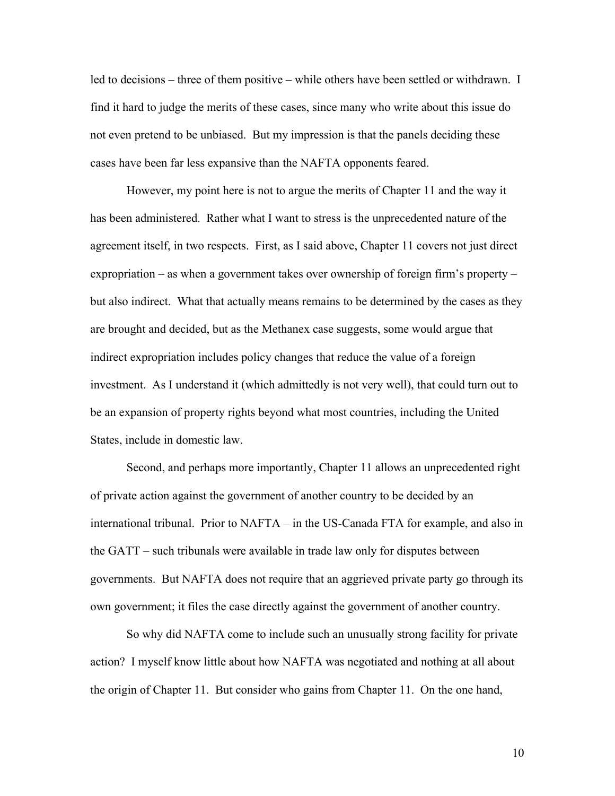led to decisions – three of them positive – while others have been settled or withdrawn. I find it hard to judge the merits of these cases, since many who write about this issue do not even pretend to be unbiased. But my impression is that the panels deciding these cases have been far less expansive than the NAFTA opponents feared.

However, my point here is not to argue the merits of Chapter 11 and the way it has been administered. Rather what I want to stress is the unprecedented nature of the agreement itself, in two respects. First, as I said above, Chapter 11 covers not just direct expropriation – as when a government takes over ownership of foreign firm's property – but also indirect. What that actually means remains to be determined by the cases as they are brought and decided, but as the Methanex case suggests, some would argue that indirect expropriation includes policy changes that reduce the value of a foreign investment. As I understand it (which admittedly is not very well), that could turn out to be an expansion of property rights beyond what most countries, including the United States, include in domestic law.

Second, and perhaps more importantly, Chapter 11 allows an unprecedented right of private action against the government of another country to be decided by an international tribunal. Prior to NAFTA – in the US-Canada FTA for example, and also in the GATT – such tribunals were available in trade law only for disputes between governments. But NAFTA does not require that an aggrieved private party go through its own government; it files the case directly against the government of another country.

So why did NAFTA come to include such an unusually strong facility for private action? I myself know little about how NAFTA was negotiated and nothing at all about the origin of Chapter 11. But consider who gains from Chapter 11. On the one hand,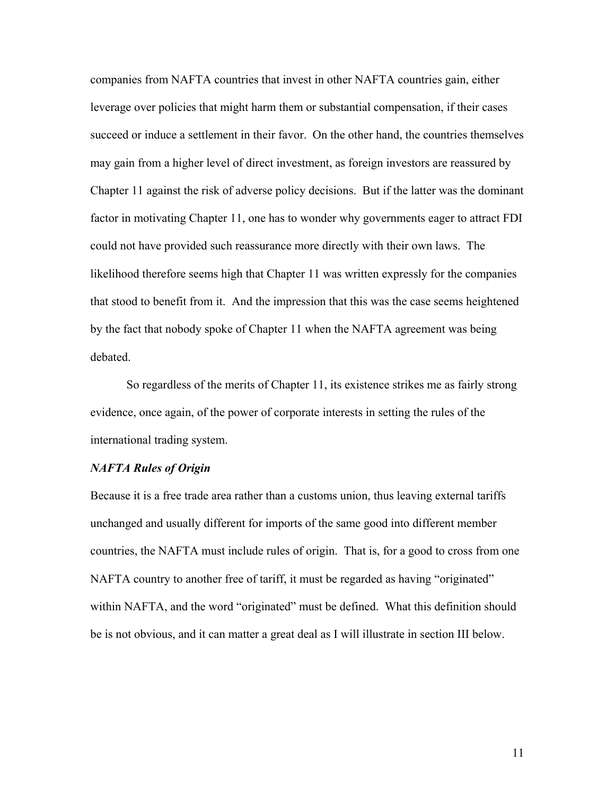companies from NAFTA countries that invest in other NAFTA countries gain, either leverage over policies that might harm them or substantial compensation, if their cases succeed or induce a settlement in their favor. On the other hand, the countries themselves may gain from a higher level of direct investment, as foreign investors are reassured by Chapter 11 against the risk of adverse policy decisions. But if the latter was the dominant factor in motivating Chapter 11, one has to wonder why governments eager to attract FDI could not have provided such reassurance more directly with their own laws. The likelihood therefore seems high that Chapter 11 was written expressly for the companies that stood to benefit from it. And the impression that this was the case seems heightened by the fact that nobody spoke of Chapter 11 when the NAFTA agreement was being debated.

So regardless of the merits of Chapter 11, its existence strikes me as fairly strong evidence, once again, of the power of corporate interests in setting the rules of the international trading system.

#### *NAFTA Rules of Origin*

Because it is a free trade area rather than a customs union, thus leaving external tariffs unchanged and usually different for imports of the same good into different member countries, the NAFTA must include rules of origin. That is, for a good to cross from one NAFTA country to another free of tariff, it must be regarded as having "originated" within NAFTA, and the word "originated" must be defined. What this definition should be is not obvious, and it can matter a great deal as I will illustrate in section III below.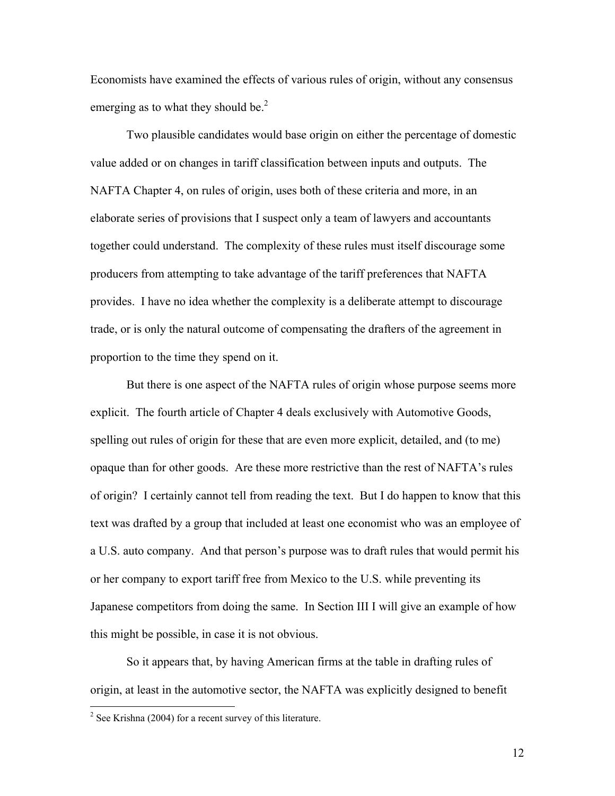Economists have examined the effects of various rules of origin, without any consensus emerging as to what they should be. $2$ 

Two plausible candidates would base origin on either the percentage of domestic value added or on changes in tariff classification between inputs and outputs. The NAFTA Chapter 4, on rules of origin, uses both of these criteria and more, in an elaborate series of provisions that I suspect only a team of lawyers and accountants together could understand. The complexity of these rules must itself discourage some producers from attempting to take advantage of the tariff preferences that NAFTA provides. I have no idea whether the complexity is a deliberate attempt to discourage trade, or is only the natural outcome of compensating the drafters of the agreement in proportion to the time they spend on it.

But there is one aspect of the NAFTA rules of origin whose purpose seems more explicit. The fourth article of Chapter 4 deals exclusively with Automotive Goods, spelling out rules of origin for these that are even more explicit, detailed, and (to me) opaque than for other goods. Are these more restrictive than the rest of NAFTA's rules of origin? I certainly cannot tell from reading the text. But I do happen to know that this text was drafted by a group that included at least one economist who was an employee of a U.S. auto company. And that person's purpose was to draft rules that would permit his or her company to export tariff free from Mexico to the U.S. while preventing its Japanese competitors from doing the same. In Section III I will give an example of how this might be possible, in case it is not obvious.

So it appears that, by having American firms at the table in drafting rules of origin, at least in the automotive sector, the NAFTA was explicitly designed to benefit

 $\overline{a}$ 

<span id="page-14-0"></span> $2^2$  See Krishna (2004) for a recent survey of this literature.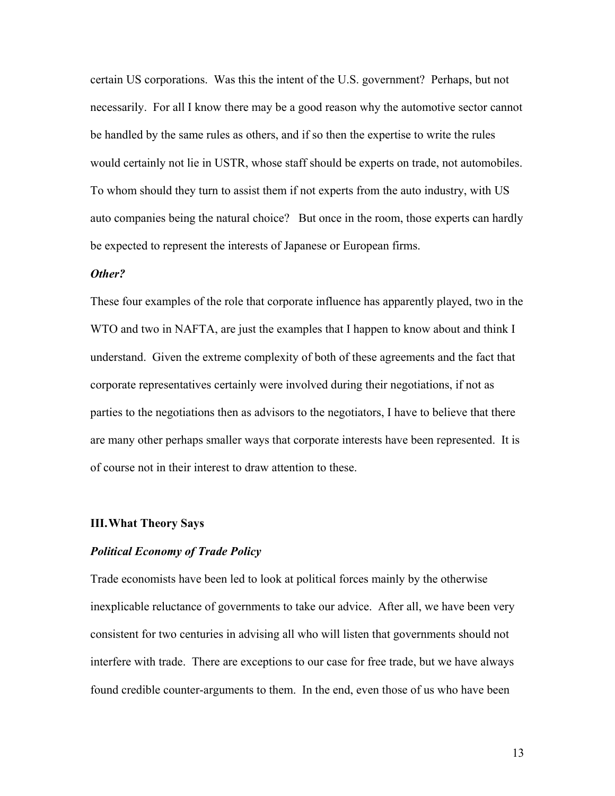certain US corporations. Was this the intent of the U.S. government? Perhaps, but not necessarily. For all I know there may be a good reason why the automotive sector cannot be handled by the same rules as others, and if so then the expertise to write the rules would certainly not lie in USTR, whose staff should be experts on trade, not automobiles. To whom should they turn to assist them if not experts from the auto industry, with US auto companies being the natural choice? But once in the room, those experts can hardly be expected to represent the interests of Japanese or European firms.

### *Other?*

These four examples of the role that corporate influence has apparently played, two in the WTO and two in NAFTA, are just the examples that I happen to know about and think I understand. Given the extreme complexity of both of these agreements and the fact that corporate representatives certainly were involved during their negotiations, if not as parties to the negotiations then as advisors to the negotiators, I have to believe that there are many other perhaps smaller ways that corporate interests have been represented. It is of course not in their interest to draw attention to these.

#### **III.What Theory Says**

#### *Political Economy of Trade Policy*

Trade economists have been led to look at political forces mainly by the otherwise inexplicable reluctance of governments to take our advice. After all, we have been very consistent for two centuries in advising all who will listen that governments should not interfere with trade. There are exceptions to our case for free trade, but we have always found credible counter-arguments to them. In the end, even those of us who have been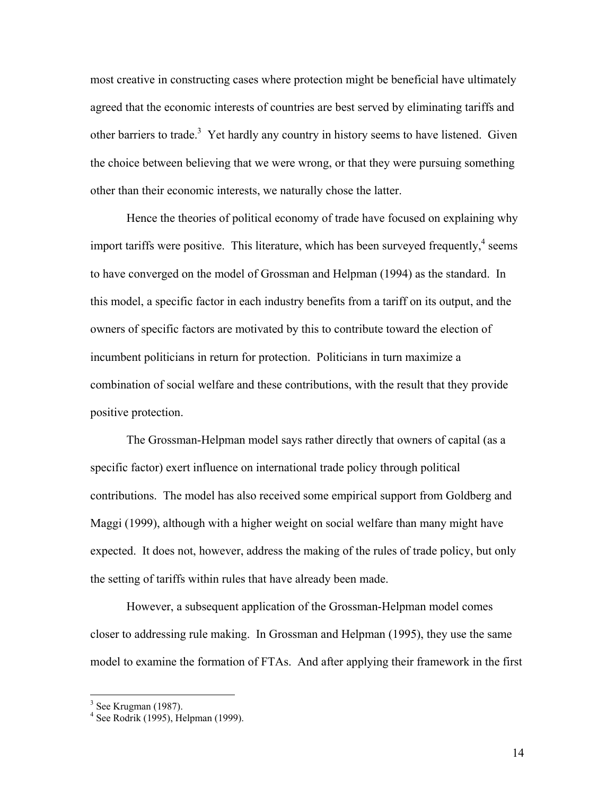most creative in constructing cases where protection might be beneficial have ultimately agreed that the economic interests of countries are best served by eliminating tariffs and other barriers to trade.<sup>[3](#page-16-0)</sup> Yet hardly any country in history seems to have listened. Given the choice between believing that we were wrong, or that they were pursuing something other than their economic interests, we naturally chose the latter.

Hence the theories of political economy of trade have focused on explaining why import tariffs were positive. This literature, which has been surveyed frequently, $4$  seems to have converged on the model of Grossman and Helpman (1994) as the standard. In this model, a specific factor in each industry benefits from a tariff on its output, and the owners of specific factors are motivated by this to contribute toward the election of incumbent politicians in return for protection. Politicians in turn maximize a combination of social welfare and these contributions, with the result that they provide positive protection.

The Grossman-Helpman model says rather directly that owners of capital (as a specific factor) exert influence on international trade policy through political contributions. The model has also received some empirical support from Goldberg and Maggi (1999), although with a higher weight on social welfare than many might have expected. It does not, however, address the making of the rules of trade policy, but only the setting of tariffs within rules that have already been made.

However, a subsequent application of the Grossman-Helpman model comes closer to addressing rule making. In Grossman and Helpman (1995), they use the same model to examine the formation of FTAs. And after applying their framework in the first

<span id="page-16-1"></span><span id="page-16-0"></span>

<sup>&</sup>lt;sup>3</sup> See Krugman (1987).<br><sup>4</sup> See Rodrik (1995), Helpman (1999).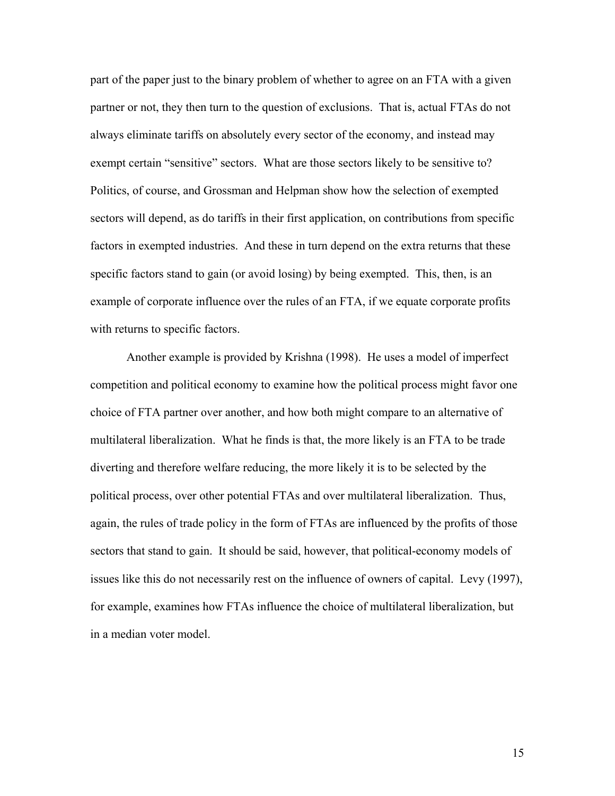part of the paper just to the binary problem of whether to agree on an FTA with a given partner or not, they then turn to the question of exclusions. That is, actual FTAs do not always eliminate tariffs on absolutely every sector of the economy, and instead may exempt certain "sensitive" sectors. What are those sectors likely to be sensitive to? Politics, of course, and Grossman and Helpman show how the selection of exempted sectors will depend, as do tariffs in their first application, on contributions from specific factors in exempted industries. And these in turn depend on the extra returns that these specific factors stand to gain (or avoid losing) by being exempted. This, then, is an example of corporate influence over the rules of an FTA, if we equate corporate profits with returns to specific factors.

Another example is provided by Krishna (1998). He uses a model of imperfect competition and political economy to examine how the political process might favor one choice of FTA partner over another, and how both might compare to an alternative of multilateral liberalization. What he finds is that, the more likely is an FTA to be trade diverting and therefore welfare reducing, the more likely it is to be selected by the political process, over other potential FTAs and over multilateral liberalization. Thus, again, the rules of trade policy in the form of FTAs are influenced by the profits of those sectors that stand to gain. It should be said, however, that political-economy models of issues like this do not necessarily rest on the influence of owners of capital. Levy (1997), for example, examines how FTAs influence the choice of multilateral liberalization, but in a median voter model.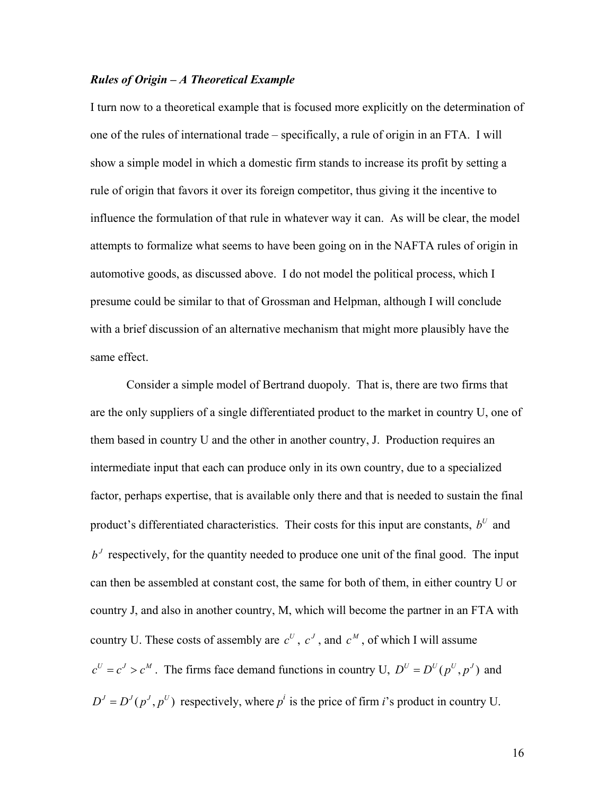### *Rules of Origin – A Theoretical Example*

I turn now to a theoretical example that is focused more explicitly on the determination of one of the rules of international trade – specifically, a rule of origin in an FTA. I will show a simple model in which a domestic firm stands to increase its profit by setting a rule of origin that favors it over its foreign competitor, thus giving it the incentive to influence the formulation of that rule in whatever way it can. As will be clear, the model attempts to formalize what seems to have been going on in the NAFTA rules of origin in automotive goods, as discussed above. I do not model the political process, which I presume could be similar to that of Grossman and Helpman, although I will conclude with a brief discussion of an alternative mechanism that might more plausibly have the same effect.

Consider a simple model of Bertrand duopoly. That is, there are two firms that are the only suppliers of a single differentiated product to the market in country U, one of them based in country U and the other in another country, J. Production requires an intermediate input that each can produce only in its own country, due to a specialized factor, perhaps expertise, that is available only there and that is needed to sustain the final product's differentiated characteristics. Their costs for this input are constants,  $b^U$  and  $b<sup>J</sup>$  respectively, for the quantity needed to produce one unit of the final good. The input can then be assembled at constant cost, the same for both of them, in either country U or country J, and also in another country, M, which will become the partner in an FTA with country U. These costs of assembly are  $c^U$ ,  $c^J$ , and  $c^M$ , of which I will assume  $c^U = c^J > c^M$ . The firms face demand functions in country U,  $D^U = D^U(p^U, p^J)$  and  $D^J = D^J(p^J, p^U)$  respectively, where  $p^i$  is the price of firm *i*'s product in country U.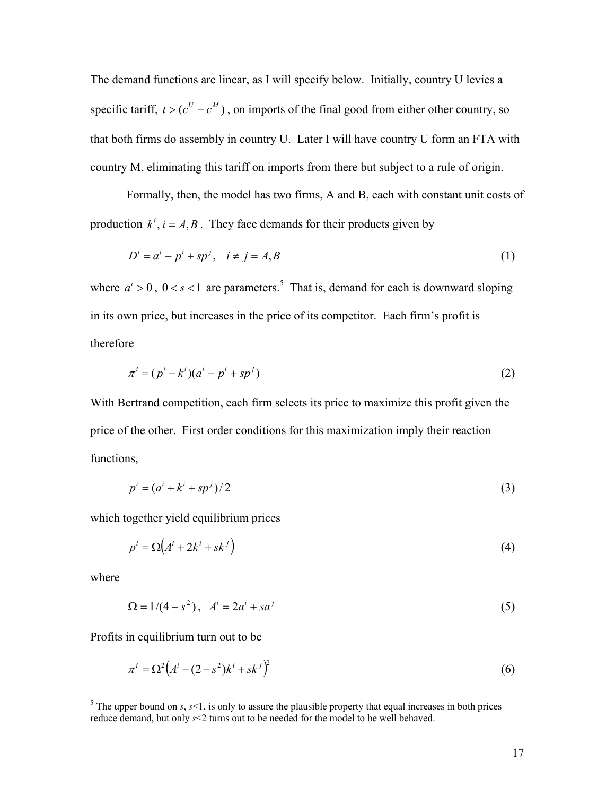The demand functions are linear, as I will specify below. Initially, country U levies a specific tariff,  $t > (c^U - c^M)$ , on imports of the final good from either other country, so that both firms do assembly in country U. Later I will have country U form an FTA with country M, eliminating this tariff on imports from there but subject to a rule of origin.

production  $k^i$ ,  $i = A, B$ . They face demands for their products given by Formally, then, the model has two firms, A and B, each with constant unit costs of

$$
D^i = a^i - p^i + sp^j, \quad i \neq j = A, B \tag{1}
$$

where  $a^i > 0$ ,  $0 < s < 1$  are parameters.<sup>[5](#page-19-0)</sup> That is, demand for each is downward sloping in its own price, but increases in the price of its competitor. Each firm's profit is therefore

$$
\pi^{i} = (p^{i} - k^{i})(a^{i} - p^{i} + sp^{j})
$$
\n(2)

With Bertrand competition, each firm selects its price to maximize this profit given the price of the other. First order conditions for this maximization imply their reaction functions,

$$
p^i = (a^i + k^i + sp^j)/2 \tag{3}
$$

which together yield equilibrium prices

$$
p^i = \Omega \left( A^i + 2k^i + sk^j \right) \tag{4}
$$

where

 $\overline{a}$ 

$$
\Omega = 1/(4 - s^2), \quad A^i = 2a^i + sa^j \tag{5}
$$

Profits in equilibrium turn out to be

$$
\pi^{i} = \Omega^{2} (A^{i} - (2 - s^{2})k^{i} + sk^{j})^{2}
$$
\n(6)

<span id="page-19-0"></span><sup>&</sup>lt;sup>5</sup> The upper bound on  $s$ ,  $s$ <1, is only to assure the plausible property that equal increases in both prices reduce demand, but only *s*<2 turns out to be needed for the model to be well behaved.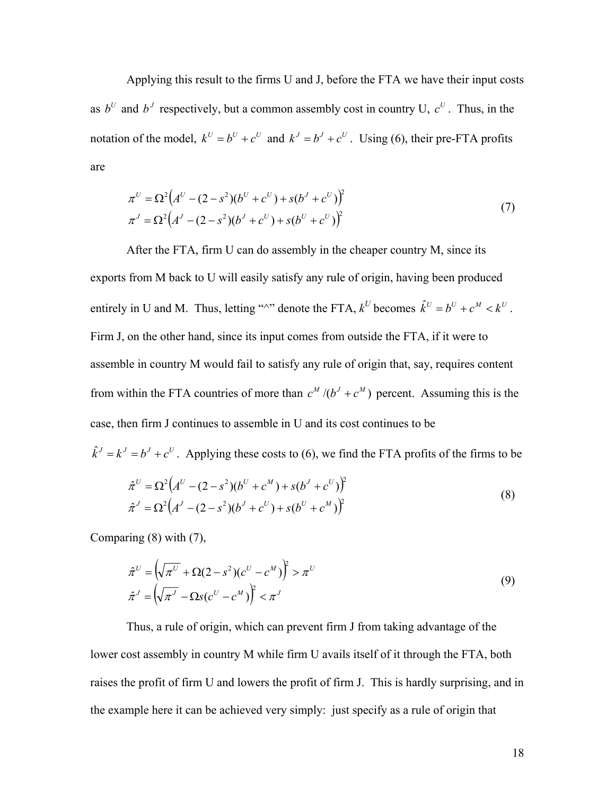Applying this result to the firms U and J, before the FTA we have their input costs as  $b^U$  and  $b^J$  respectively, but a common assembly cost in country U,  $c^U$ . Thus, in the notation of the model,  $k^U = b^U + c^U$  and  $k^J = b^J + c^U$ . Using (6), their pre-FTA profits are

$$
\pi^{U} = \Omega^{2} (A^{U} - (2 - s^{2})(b^{U} + c^{U}) + s(b^{J} + c^{U}))^{2}
$$
\n
$$
\pi^{J} = \Omega^{2} (A^{J} - (2 - s^{2})(b^{J} + c^{U}) + s(b^{U} + c^{U}))^{2}
$$
\n(7)

After the FTA, firm U can do assembly in the cheaper country M, since its exports from M back to U will easily satisfy any rule of origin, having been produced entirely in U and M. Thus, letting "<sup> $\wedge$ </sup>" denote the FTA,  $k^U$  becomes  $\hat{k}^U = b^U + c^M < k^U$ . Firm J, on the other hand, since its input comes from outside the FTA, if it were to assemble in country M would fail to satisfy any rule of origin that, say, requires content from within the FTA countries of more than  $c^M/(b^J + c^M)$  percent. Assuming this is the case, then firm J continues to assemble in U and its cost continues to be

 $\hat{k}^{J} = k^{J} + c^{U}$ . Applying these costs to (6), we find the FTA profits of the firms to be

$$
\hat{\pi}^{U} = \Omega^{2} (A^{U} - (2 - s^{2})(b^{U} + c^{M}) + s(b^{J} + c^{U}))^{2}
$$
\n
$$
\hat{\pi}^{J} = \Omega^{2} (A^{J} - (2 - s^{2})(b^{J} + c^{U}) + s(b^{U} + c^{M}))^{2}
$$
\n(8)

Comparing (8) with (7),

$$
\hat{\pi}^U = \left(\sqrt{\pi^U} + \Omega(2 - s^2)(c^U - c^M)\right)^2 > \pi^U
$$
  

$$
\hat{\pi}^U = \left(\sqrt{\pi^U} - \Omega s(c^U - c^M)\right)^2 < \pi^U
$$
\n(9)

Thus, a rule of origin, which can prevent firm J from taking advantage of the lower cost assembly in country M while firm U avails itself of it through the FTA, both raises the profit of firm U and lowers the profit of firm J. This is hardly surprising, and in the example here it can be achieved very simply: just specify as a rule of origin that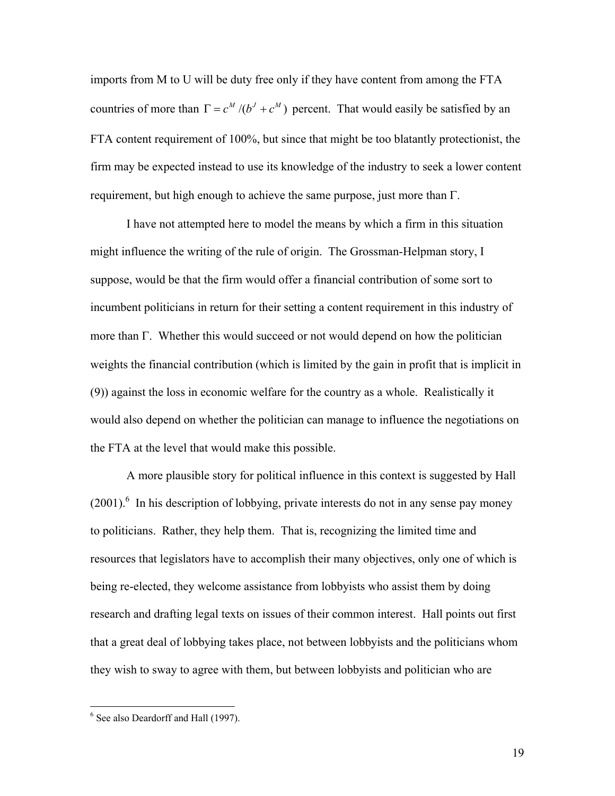imports from M to U will be duty free only if they have content from among the FTA countries of more than  $\Gamma = c^M / (b^J + c^M)$  percent. That would easily be satisfied by an FTA content requirement of 100%, but since that might be too blatantly protectionist, the firm may be expected instead to use its knowledge of the industry to seek a lower content requirement, but high enough to achieve the same purpose, just more than Γ.

I have not attempted here to model the means by which a firm in this situation might influence the writing of the rule of origin. The Grossman-Helpman story, I suppose, would be that the firm would offer a financial contribution of some sort to incumbent politicians in return for their setting a content requirement in this industry of more than Γ. Whether this would succeed or not would depend on how the politician weights the financial contribution (which is limited by the gain in profit that is implicit in (9)) against the loss in economic welfare for the country as a whole. Realistically it would also depend on whether the politician can manage to influence the negotiations on the FTA at the level that would make this possible.

A more plausible story for political influence in this context is suggested by Hall  $(2001)$ <sup>6</sup>. In his description of lobbying, private interests do not in any sense pay money to politicians. Rather, they help them. That is, recognizing the limited time and resources that legislators have to accomplish their many objectives, only one of which is being re-elected, they welcome assistance from lobbyists who assist them by doing research and drafting legal texts on issues of their common interest. Hall points out first that a great deal of lobbying takes place, not between lobbyists and the politicians whom they wish to sway to agree with them, but between lobbyists and politician who are

<u>.</u>

<span id="page-21-0"></span><sup>6</sup> See also Deardorff and Hall (1997).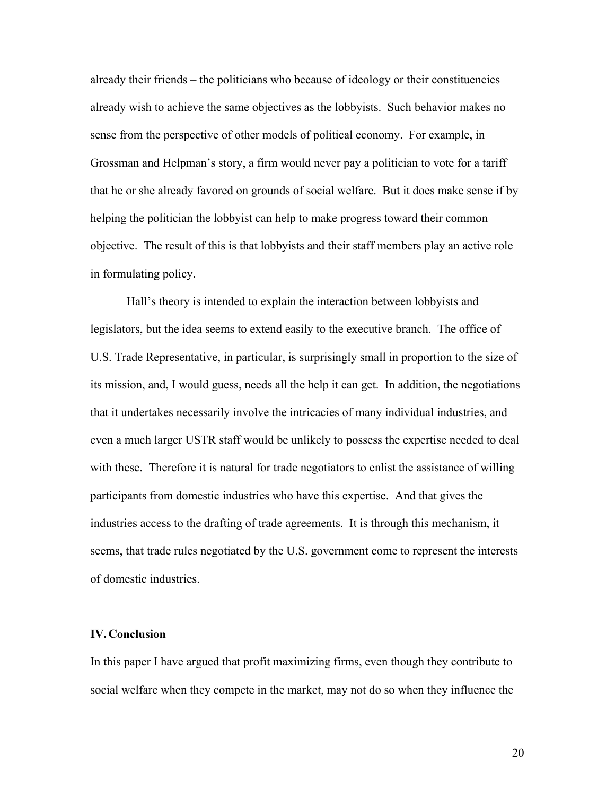already their friends – the politicians who because of ideology or their constituencies already wish to achieve the same objectives as the lobbyists. Such behavior makes no sense from the perspective of other models of political economy. For example, in Grossman and Helpman's story, a firm would never pay a politician to vote for a tariff that he or she already favored on grounds of social welfare. But it does make sense if by helping the politician the lobbyist can help to make progress toward their common objective. The result of this is that lobbyists and their staff members play an active role in formulating policy.

Hall's theory is intended to explain the interaction between lobbyists and legislators, but the idea seems to extend easily to the executive branch. The office of U.S. Trade Representative, in particular, is surprisingly small in proportion to the size of its mission, and, I would guess, needs all the help it can get. In addition, the negotiations that it undertakes necessarily involve the intricacies of many individual industries, and even a much larger USTR staff would be unlikely to possess the expertise needed to deal with these. Therefore it is natural for trade negotiators to enlist the assistance of willing participants from domestic industries who have this expertise. And that gives the industries access to the drafting of trade agreements. It is through this mechanism, it seems, that trade rules negotiated by the U.S. government come to represent the interests of domestic industries.

#### **IV.Conclusion**

In this paper I have argued that profit maximizing firms, even though they contribute to social welfare when they compete in the market, may not do so when they influence the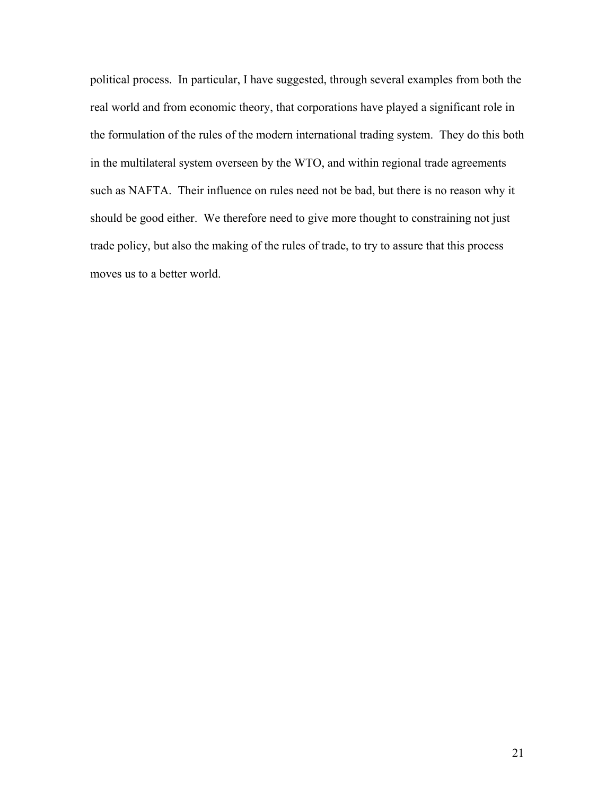political process. In particular, I have suggested, through several examples from both the real world and from economic theory, that corporations have played a significant role in the formulation of the rules of the modern international trading system. They do this both in the multilateral system overseen by the WTO, and within regional trade agreements such as NAFTA. Their influence on rules need not be bad, but there is no reason why it should be good either. We therefore need to give more thought to constraining not just trade policy, but also the making of the rules of trade, to try to assure that this process moves us to a better world.